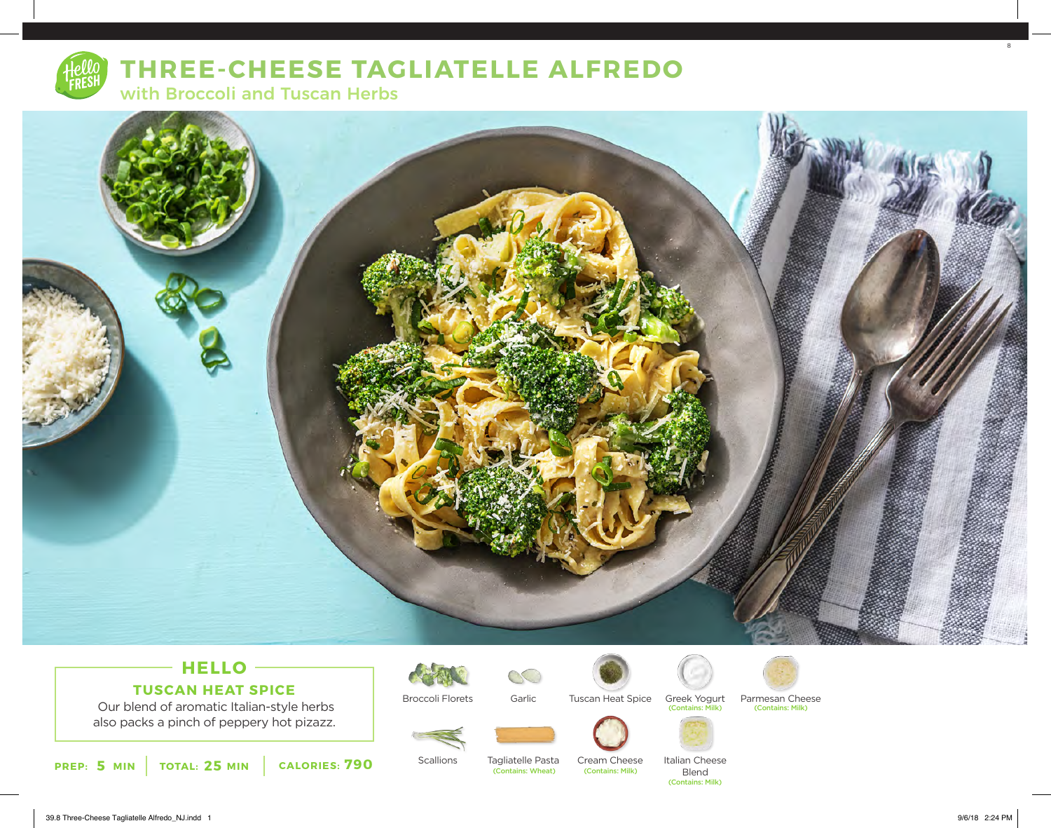

# **THREE-CHEESE TAGLIATELLE ALFREDO**

with Broccoli and Tuscan Herbs



## **HELLO TUSCAN HEAT SPICE**

 Our blend of aromatic Italian-style herbs also packs a pinch of peppery hot pizazz. Broccoli Florets





Greek Yogurt<br>Contains: Milk)





Tuscan Heat Spice Greek Yogurt Parmesan Cheese (Contains: Milk) (Contains: Milk)



**Scallions** 

Tagliatelle Pasta<br>(Contains: Wheat) Cream Cheese<br>
(Contains: Milk)

Blend (Contains: Milk)

Italian Cheese



8